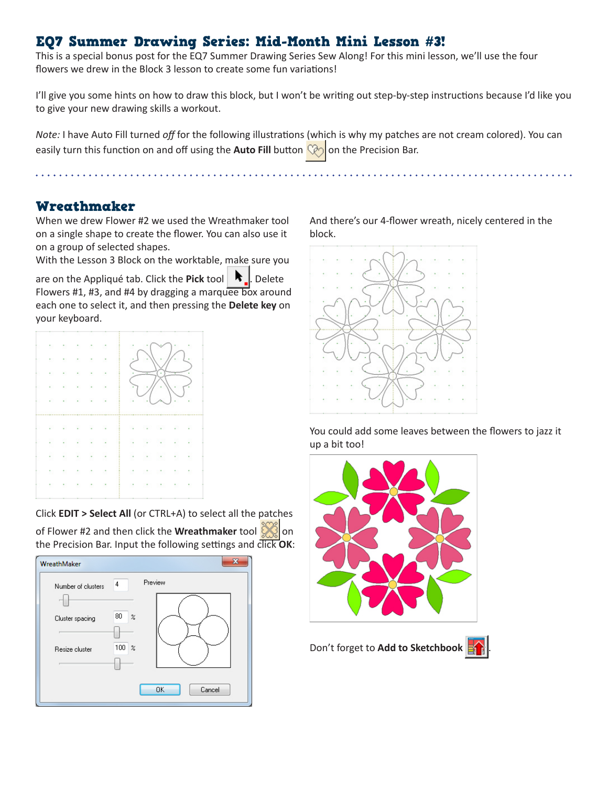## EQ7 Summer Drawing Series: Mid-Month Mini Lesson #3!

This is a special bonus post for the EQ7 Summer Drawing Series Sew Along! For this mini lesson, we'll use the four flowers we drew in the Block 3 lesson to create some fun variations!

I'll give you some hints on how to draw this block, but I won't be writing out step-by-step instructions because I'd like you to give your new drawing skills a workout.

*Note:* I have Auto Fill turned *off* for the following illustrations (which is why my patches are not cream colored). You can easily turn this function on and off using the **Auto Fill** button  $\mathbb{Q}_2$  on the Precision Bar.

 $\mathbf{A} = \mathbf{A} + \mathbf{A} + \mathbf{A} + \mathbf{A} + \mathbf{A} + \mathbf{A} + \mathbf{A} + \mathbf{A} + \mathbf{A} + \mathbf{A} + \mathbf{A} + \mathbf{A} + \mathbf{A} + \mathbf{A} + \mathbf{A} + \mathbf{A} + \mathbf{A} + \mathbf{A} + \mathbf{A} + \mathbf{A} + \mathbf{A} + \mathbf{A} + \mathbf{A} + \mathbf{A} + \mathbf{A} + \mathbf{A} + \mathbf{A} + \mathbf{A} + \mathbf{A} + \mathbf{A} + \mathbf$ 

### Wreathmaker

When we drew Flower #2 we used the Wreathmaker tool on a single shape to create the flower. You can also use it on a group of selected shapes.

With the Lesson 3 Block on the worktable, make sure you

are on the Appliqué tab. Click the Pick tool **.** Delete Flowers #1, #3, and #4 by dragging a marquee box around each one to select it, and then pressing the **Delete key** on your keyboard.



Click **EDIT > Select All** (or CTRL+A) to select all the patches

of Flower #2 and then click the **Wreathmaker** tool the Precision Bar. Input the following settings and click **OK**:



And there's our 4-flower wreath, nicely centered in the block.



You could add some leaves between the flowers to jazz it up a bit too!



Don't forget to **Add to Sketchbook** .